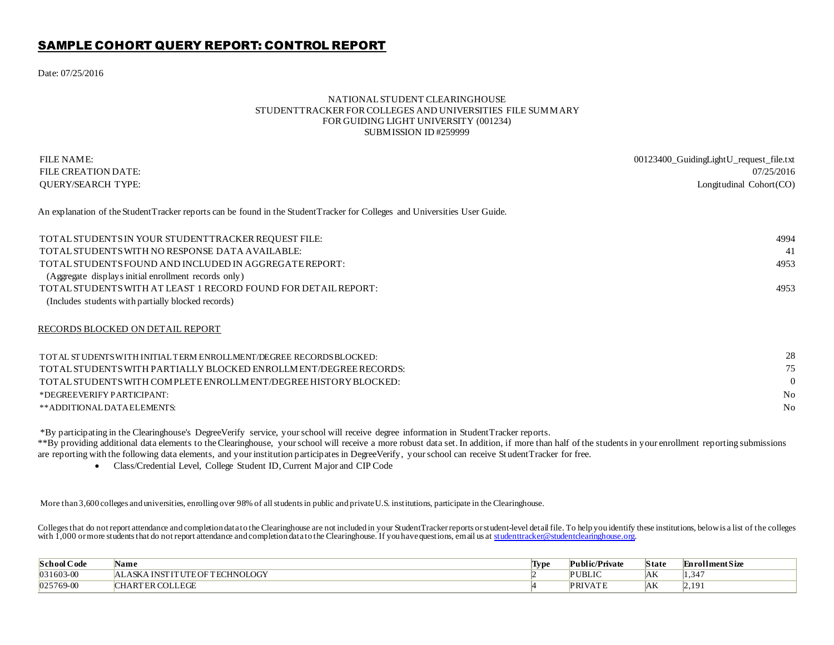## SAMPLE COHORT QUERY REPORT: CONTROL REPORT

Date: 07/25/2016

## NATIONAL STUDENT CLEARINGHOUSE STUDENTTRACKER FOR COLLEGES AND UNIVERSITIES FILE SUMMARY FOR GUIDING LIGHT UNIVERSITY (001234) SUBMISSION ID #259999

| FILE NAME:<br>FILE CREATION DATE:                                                                                           | 00123400_GuidingLightU_request_file.txt<br>07/25/2016 |
|-----------------------------------------------------------------------------------------------------------------------------|-------------------------------------------------------|
| <b>OUERY/SEARCH TYPE:</b>                                                                                                   | Longitudinal Cohort(CO)                               |
| An explanation of the Student Tracker reports can be found in the Student Tracker for Colleges and Universities User Guide. |                                                       |
| TOTAL STUDENTS IN YOUR STUDENTTRACKER REQUEST FILE:                                                                         | 4994                                                  |
| TOTAL STUDENTS WITH NO RESPONSE DATA AVAILABLE:                                                                             | 41                                                    |
| TOTAL STUDENTS FOUND AND INCLUDED IN AGGREGATE REPORT:                                                                      | 4953                                                  |
| (Aggregate displays initial enrollment records only)                                                                        |                                                       |
| TOTAL STUDENTS WITH AT LEAST 1 RECORD FOUND FOR DETAIL REPORT:                                                              | 4953                                                  |
| (Includes students with partially blocked records)                                                                          |                                                       |
| RECORDS BLOCKED ON DETAIL REPORT                                                                                            |                                                       |
| TOTAL STUDENTS WITH INITIAL TERM ENROLLMENT/DEGREE RECORDS BLOCKED:                                                         | 28                                                    |
| TOTAL STUDENTS WITH PARTIALLY BLOCKED ENROLLM ENT/DEGREE RECORDS:                                                           | 75                                                    |
| TOTAL STUDENTS WITH COMPLETE ENROLLMENT/DEGREE HISTORY BLOCKED:                                                             | $\Omega$                                              |
| *DEGREEVERIFY PARTICIPANT:                                                                                                  | N <sub>0</sub>                                        |
| **ADDITIONALDATAELEMENTS:                                                                                                   | N <sub>0</sub>                                        |
|                                                                                                                             |                                                       |

\*By participating in the Clearinghouse's DegreeVerify service, your school will receive degree information in StudentTracker reports.

\*\*By providing additional data elements to the Clearinghouse, your school will receive a more robust data set. In addition, if more than half of the students in your enrollment reporting submissions are reporting with the following data elements, and your institution participates in DegreeVerify, your school can receive St udentTracker for free.

Class/Credential Level, College Student ID, Current Major and CIP Code

More than 3,600 colleges and universities, enrolling over 98% of all students in public and private U.S. institutions, participate in the Clearinghouse.

Colleges that do not report attendance and completion data to the Clearinghouse are not included in your Student Tracker reports or student-level detail file. To help you identify these institutions, below is a list of the with  $1,000$  or more students that do not report attendance and completion data to the Clearinghouse. If you have questions, email us at student tracker@student clearinghouse.org.

| <b>School Code</b> | Name                                                    | <b>Type</b> | <sup> </sup> Public/Private | <b>State</b> | <b>Enrollment Size</b> |
|--------------------|---------------------------------------------------------|-------------|-----------------------------|--------------|------------------------|
| $ 031603-00$       | CHNOLOGY<br>OETEC<br><b>INICEITURE</b><br>$\alpha$<br>∼ |             | <b>PUBLIC</b>               | $A\Lambda$   | 34. ا                  |
| $ 025769-00$       | LEGF                                                    |             | <b>COLUMN</b><br>זחח        | ľАN          | ٦Ω.<br>.               |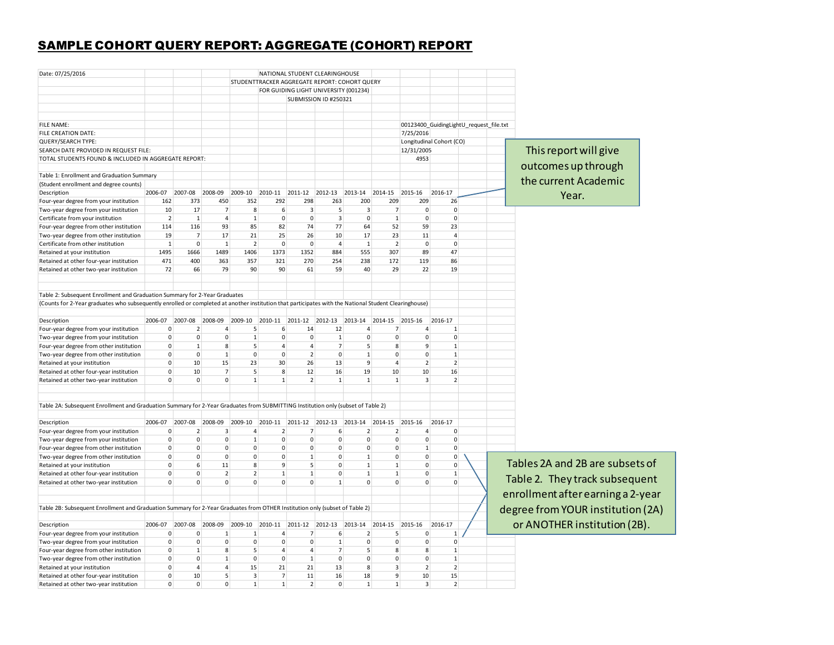## SAMPLE COHORT QUERY REPORT: AGGREGATE (COHORT) REPORT

| Date: 07/25/2016                                                                                                                                                                                                                    |                             |                          |                |                    |                                               |                     | NATIONAL STUDENT CLEARINGHOUSE        |                   |                                                         |                                |                          |                                         |                                   |
|-------------------------------------------------------------------------------------------------------------------------------------------------------------------------------------------------------------------------------------|-----------------------------|--------------------------|----------------|--------------------|-----------------------------------------------|---------------------|---------------------------------------|-------------------|---------------------------------------------------------|--------------------------------|--------------------------|-----------------------------------------|-----------------------------------|
|                                                                                                                                                                                                                                     |                             |                          |                |                    | STUDENTTRACKER AGGREGATE REPORT: COHORT QUERY |                     |                                       |                   |                                                         |                                |                          |                                         |                                   |
|                                                                                                                                                                                                                                     |                             |                          |                |                    |                                               |                     | FOR GUIDING LIGHT UNIVERSITY (001234) |                   |                                                         |                                |                          |                                         |                                   |
|                                                                                                                                                                                                                                     |                             |                          |                |                    |                                               |                     | SUBMISSION ID #250321                 |                   |                                                         |                                |                          |                                         |                                   |
|                                                                                                                                                                                                                                     |                             |                          |                |                    |                                               |                     |                                       |                   |                                                         |                                |                          |                                         |                                   |
| FILE NAME:                                                                                                                                                                                                                          |                             |                          |                |                    |                                               |                     |                                       |                   |                                                         |                                |                          | 00123400_GuidingLightU_request_file.txt |                                   |
| FILE CREATION DATE:                                                                                                                                                                                                                 |                             |                          |                |                    |                                               |                     |                                       |                   |                                                         | 7/25/2016                      |                          |                                         |                                   |
| QUERY/SEARCH TYPE:                                                                                                                                                                                                                  |                             |                          |                |                    |                                               |                     |                                       |                   |                                                         |                                | Longitudinal Cohort (CO) |                                         |                                   |
| SEARCH DATE PROVIDED IN REQUEST FILE:                                                                                                                                                                                               |                             |                          |                |                    |                                               |                     |                                       |                   |                                                         | 12/31/2005                     |                          |                                         | This report will give             |
| TOTAL STUDENTS FOUND & INCLUDED IN AGGREGATE REPORT:                                                                                                                                                                                |                             |                          |                |                    |                                               |                     |                                       |                   |                                                         | 4953                           |                          |                                         |                                   |
|                                                                                                                                                                                                                                     |                             |                          |                |                    |                                               |                     |                                       |                   |                                                         |                                |                          |                                         | outcomes up through               |
| Table 1: Enrollment and Graduation Summary                                                                                                                                                                                          |                             |                          |                |                    |                                               |                     |                                       |                   |                                                         |                                |                          |                                         |                                   |
| (Student enrollment and degree counts)                                                                                                                                                                                              |                             |                          |                |                    |                                               |                     |                                       |                   |                                                         |                                |                          |                                         | the current Academic              |
| Description                                                                                                                                                                                                                         |                             | 2006-07 2007-08          | 2008-09        | 2009-10            | 2010-11                                       | 2011-12             | 2012-13                               | 2013-14           | 2014-15                                                 | 2015-16                        | 2016-17                  |                                         |                                   |
| Four-year degree from your institution                                                                                                                                                                                              | 162                         | 373                      | 450            | 352                | 292                                           | 298                 | 263                                   | 200               | 209                                                     | 209                            | 26                       |                                         | Year.                             |
| Two-year degree from your institution                                                                                                                                                                                               | 10                          | 17                       | $\overline{7}$ | 8                  | 6                                             | 3                   | 5                                     | 3                 | $\overline{7}$                                          | $\mathbf 0$                    | $\mathbf{0}$             |                                         |                                   |
| Certificate from your institution                                                                                                                                                                                                   | $\overline{2}$              | $\mathbf{1}$             | 4              | $\mathbf{1}$       | $\mathbf{0}$                                  | $\mathbf{0}$        | $\overline{3}$                        | $\mathsf 0$       | $\mathbf{1}$                                            | $\pmb{0}$                      | $\overline{0}$           |                                         |                                   |
|                                                                                                                                                                                                                                     | 114                         | 116                      | 93             | 85                 | 82                                            | 74                  | 77                                    | 64                | 52                                                      | 59                             | 23                       |                                         |                                   |
| Four-year degree from other institution                                                                                                                                                                                             | 19                          | $\overline{7}$           | 17             | 21                 | 25                                            | 26                  | 10                                    | 17                | 23                                                      | 11                             | $\overline{4}$           |                                         |                                   |
| Two-year degree from other institution                                                                                                                                                                                              | $\mathbf 1$                 | 0                        | $\mathbf{1}$   | $\overline{2}$     | $\mathbf 0$                                   | $\mathbf{0}$        | $\overline{a}$                        | $\mathbf{1}$      | $\overline{2}$                                          | $\pmb{0}$                      | $\Omega$                 |                                         |                                   |
| Certificate from other institution                                                                                                                                                                                                  |                             |                          |                |                    |                                               |                     |                                       |                   |                                                         | 89                             | 47                       |                                         |                                   |
| Retained at your institution                                                                                                                                                                                                        | 1495                        | 1666                     | 1489           | 1406               | 1373                                          | 1352                | 884                                   | 555               | 307                                                     |                                |                          |                                         |                                   |
| Retained at other four-year institution                                                                                                                                                                                             | 471                         | 400                      | 363            | 357                | 321                                           | 270                 | 254                                   | 238               | 172                                                     | 119                            | 86                       |                                         |                                   |
| Retained at other two-year institution                                                                                                                                                                                              | 72                          | 66                       | 79             | 90                 | 90                                            | 61                  | 59                                    | 40                | 29                                                      | 22                             | 19                       |                                         |                                   |
|                                                                                                                                                                                                                                     |                             |                          |                |                    |                                               |                     |                                       |                   |                                                         |                                |                          |                                         |                                   |
| Table 2: Subsequent Enrollment and Graduation Summary for 2-Year Graduates<br>(Counts for 2-Year graduates who subsequently enrolled or completed at another institution that participates with the National Student Clearinghouse) |                             |                          |                |                    |                                               |                     |                                       |                   |                                                         |                                |                          |                                         |                                   |
|                                                                                                                                                                                                                                     |                             |                          |                |                    |                                               |                     |                                       |                   |                                                         |                                |                          |                                         |                                   |
| Description                                                                                                                                                                                                                         |                             | 2006-07 2007-08 2008-09  |                |                    |                                               |                     |                                       |                   | 2009-10 2010-11 2011-12 2012-13 2013-14 2014-15 2015-16 |                                | 2016-17                  |                                         |                                   |
| Four-year degree from your institution                                                                                                                                                                                              | $\pmb{0}$                   | $2 \overline{ }$         | $\overline{4}$ | $5\overline{5}$    | 6                                             | 14                  | 12                                    | $\overline{a}$    | $\overline{7}$                                          | $\overline{4}$                 | $\mathbf{1}$             |                                         |                                   |
| Two-year degree from your institution                                                                                                                                                                                               | $\mathbf 0$                 | $\mathbf{0}$             | $\mathbf 0$    | 1                  | $\Omega$                                      | $\mathsf{O}\xspace$ | $\mathbf{1}$                          | $\pmb{0}$         | $\pmb{0}$                                               | $\mathsf{O}\xspace$            | $\overline{0}$           |                                         |                                   |
| Four-year degree from other institution                                                                                                                                                                                             | $\mathbf 0$                 | 1                        | 8              | $\mathsf{S}$       | $\overline{4}$                                | $\overline{4}$      | $\overline{7}$                        | $\sf 5$           | 8                                                       | 9                              | 1                        |                                         |                                   |
| Two-year degree from other institution                                                                                                                                                                                              | $\mathbf 0$                 | $\mathbf{0}$             | $\mathbf{1}$   | $\mathbf 0$        | $\mathbf{0}$                                  | 2                   | $\mathbf 0$                           | $\mathbf 1$       | $\mathsf{O}\xspace$                                     | 0                              | $\mathbf{1}$             |                                         |                                   |
| Retained at your institution                                                                                                                                                                                                        | $\overline{0}$              | 10                       | 15             | 23                 | 30                                            | 26                  | 13                                    | $\overline{9}$    | $\overline{4}$                                          | $\overline{2}$                 | $2^{\vert}$              |                                         |                                   |
| Retained at other four-year institution                                                                                                                                                                                             | $\overline{0}$              | 10                       | $\overline{7}$ | $5\overline{5}$    | 8                                             | 12                  | 16                                    | 19                | 10                                                      | 10                             | 16                       |                                         |                                   |
| Retained at other two-year institution                                                                                                                                                                                              | $\overline{0}$              | $\mathbf{0}$             | $\Omega$       | $\overline{1}$     | $\mathbf{1}$                                  | $\overline{2}$      | 1                                     | $\mathbf{1}$      | $\mathbf{1}$                                            | $\overline{3}$                 | $\overline{2}$           |                                         |                                   |
| Table 2A: Subsequent Enrollment and Graduation Summary for 2-Year Graduates from SUBMITTING Institution only (subset of Table 2)                                                                                                    |                             |                          |                |                    |                                               |                     |                                       |                   |                                                         |                                |                          |                                         |                                   |
|                                                                                                                                                                                                                                     |                             |                          |                |                    |                                               |                     |                                       |                   |                                                         |                                |                          |                                         |                                   |
| Description                                                                                                                                                                                                                         |                             | 2006-07 2007-08          | 2008-09        | 2009-10 2010-11    |                                               |                     | 2011-12 2012-13 2013-14               |                   | 2014-15                                                 | 2015-16                        | 2016-17                  |                                         |                                   |
| Four-year degree from your institution                                                                                                                                                                                              | $\mathsf 0$                 | 2 <sup>1</sup>           | 3              | 4                  | $\overline{2}$                                | $\overline{7}$      | 6                                     | $\overline{2}$    | 2                                                       | 4                              | $\mathbf 0$              |                                         |                                   |
| Two-year degree from your institution                                                                                                                                                                                               | $\pmb{0}$                   | 0                        | 0              | $\mathbf{1}$       | $\mathbf 0$                                   | $\mathbf{0}$        | $\mathbf 0$                           | $\pmb{0}$         | $\mathsf{O}\xspace$                                     | 0                              | $\mathbf{0}$             |                                         |                                   |
| Four-year degree from other institution                                                                                                                                                                                             | $\mathbf 0$                 | $\mathbf{0}$             | 0              | $\mathbf{0}$       | $\mathbf{0}$                                  | $\overline{0}$      | $\mathbf{0}$                          | $\pmb{0}$         | $\mathsf{O}\xspace$                                     | $\mathbf{1}$                   | $\mathbf{0}$             |                                         |                                   |
| Two-year degree from other institution                                                                                                                                                                                              | $\mathbf 0$                 | $\mathbf{0}$             | $\mathbf 0$    | $\overline{0}$     | $\Omega$                                      | $\mathbf{1}$        | $\mathbf{0}$                          | $\mathbf 1$       | $\mathbf{0}$                                            | 0                              | $\overline{0}$           |                                         |                                   |
| Retained at your institution                                                                                                                                                                                                        | $\mathbf 0$                 | 6                        | 11             | 8                  | 9                                             | 5 <sup>1</sup>      | $\mathbf{0}$                          | $\mathbf{1}$      | $\mathbf{1}$                                            | 0                              | $\mathbf{0}$             |                                         | Tables 2A and 2B are subsets of   |
| Retained at other four-year institution                                                                                                                                                                                             | $\mathbf 0$                 | $\mathbf{0}$             | $\overline{2}$ | 2                  | $\mathbf{1}$                                  | $\mathbf{1}$        | $\mathbf{0}$                          | $\mathbf{1}$      | $\mathbf{1}$                                            | $\mathbf 0$                    | $\mathbf{1}$             |                                         |                                   |
| Retained at other two-year institution                                                                                                                                                                                              | $\overline{0}$              | $\mathbf{0}$             | 0              | $\mathbf{0}$       | $\mathbf{0}$                                  | $\overline{0}$      | 1                                     | $\mathbf 0$       | $\mathbf{0}$                                            | $\Omega$                       | $\mathbf{0}$             |                                         | Table 2. They track subsequent    |
|                                                                                                                                                                                                                                     |                             |                          |                |                    |                                               |                     |                                       |                   |                                                         |                                |                          |                                         | enrollment after earning a 2-year |
| Table 2B: Subsequent Enrollment and Graduation Summary for 2-Year Graduates from OTHER Institution only (subset of Table 2)                                                                                                         |                             |                          |                |                    |                                               |                     |                                       |                   |                                                         |                                |                          |                                         | degree from YOUR institution (2A) |
| Description                                                                                                                                                                                                                         |                             | 2006-07 2007-08          | 2008-09        | 2009-10            | 2010-11                                       |                     |                                       |                   | 2011-12 2012-13 2013-14 2014-15 2015-16                 |                                | 2016-17                  |                                         | or ANOTHER institution (2B).      |
|                                                                                                                                                                                                                                     | $\mathsf 0$                 | 0                        | 1              | $\mathbf{1}$       | 4                                             | $\overline{7}$      | $\boldsymbol{6}$                      |                   | 5                                                       | 0                              | $\mathbf{1}$             |                                         |                                   |
| Four-year degree from your institution                                                                                                                                                                                              |                             |                          |                |                    |                                               | $\overline{0}$      |                                       | $\overline{2}$    |                                                         |                                | $\mathbf 0$              |                                         |                                   |
| Two-year degree from your institution                                                                                                                                                                                               | $\pmb{0}$<br>$\mathbf{0}$   | $\mathbf{0}$             | 0<br>8         | $\mathbf 0$        | $\mathbf 0$<br>$\overline{4}$                 |                     | $\mathbf{1}$                          | $\pmb{0}$<br>5    | $\mathsf{O}\xspace$                                     | $\mathsf{O}\xspace$<br>8       | $\mathbf{1}$             |                                         |                                   |
| Four-year degree from other institution                                                                                                                                                                                             |                             | $\mathbf{1}$<br>$\Omega$ | 1              | $5\overline{5}$    |                                               | $\overline{4}$      | 7                                     |                   | $\bf 8$                                                 |                                |                          |                                         |                                   |
| Two-year degree from other institution                                                                                                                                                                                              | $\mathbf{0}$<br>$\mathbf 0$ | $\overline{4}$           | $\overline{4}$ | $\mathbf{0}$<br>15 | $\mathbf{0}$<br>21                            | 1<br>21             | $\mathbf{0}$<br>13                    | $\mathbf{0}$<br>8 | $\mathbf{0}$<br>$\overline{3}$                          | $\mathbf{0}$<br>$\overline{2}$ | 1<br>2 <sup>1</sup>      |                                         |                                   |
| Retained at your institution                                                                                                                                                                                                        | $\mathbf 0$                 | 10                       | 5              | $\overline{3}$     | 7                                             | 11                  | 16                                    | 18                | $\overline{9}$                                          | 10                             | 15                       |                                         |                                   |
| Retained at other four-year institution                                                                                                                                                                                             |                             | $\mathbf{0}$             | $\mathbf 0$    | $\mathbf{1}$       | $\mathbf{1}$                                  | 2                   |                                       |                   | $1\overline{ }$                                         | $\overline{3}$                 | 2 <sup>1</sup>           |                                         |                                   |
| Retained at other two-year institution                                                                                                                                                                                              | $\mathbf 0$                 |                          |                |                    |                                               |                     | $\mathbf{0}$                          | $\mathbf{1}$      |                                                         |                                |                          |                                         |                                   |